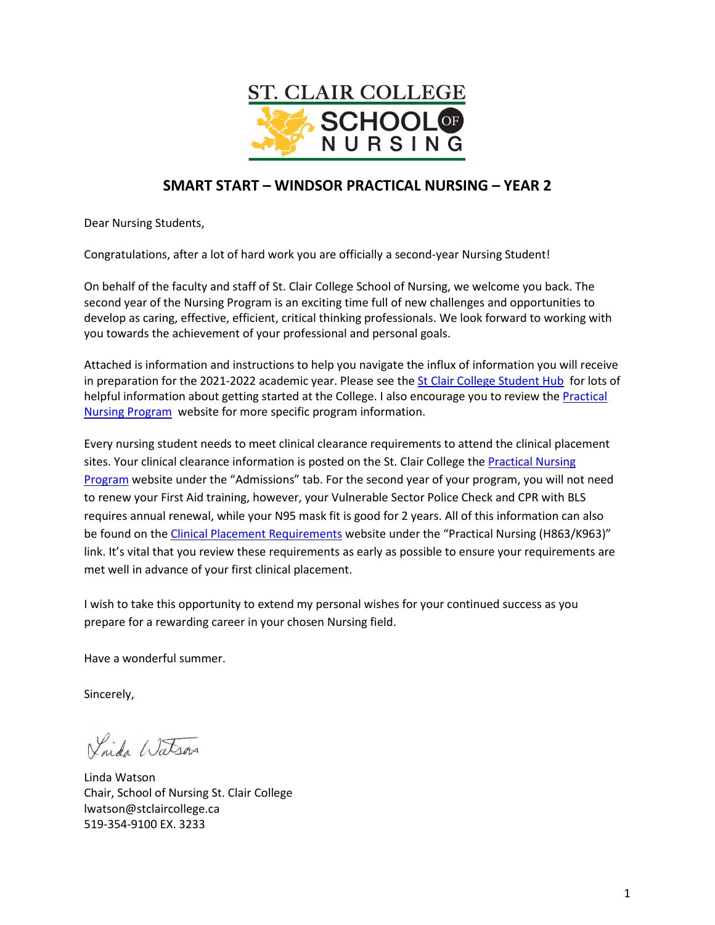

# **SMART START – WINDSOR PRACTICAL NURSING – YEAR 2**

Dear Nursing Students,

Congratulations, after a lot of hard work you are officially a second-year Nursing Student!

On behalf of the faculty and staff of St. Clair College School of Nursing, we welcome you back. The second year of the Nursing Program is an exciting time full of new challenges and opportunities to develop as caring, effective, efficient, critical thinking professionals. We look forward to working with you towards the achievement of your professional and personal goals.

Attached is information and instructions to help you navigate the influx of information you will receive in preparation for the 2021-2022 academic year. Please see th[e St Clair College Student Hub](https://www.stclaircollege.ca/hub) for lots of helpful information about getting started at the College. I also encourage you to review the [Practical](mailto:https://www.stclaircollege.ca/programs/practical-nursing)  [Nursing Program](mailto:https://www.stclaircollege.ca/programs/practical-nursing) website for more specific program information.

Every nursing student needs to meet clinical clearance requirements to attend the clinical placement sites. Your clinical clearance information is posted on the St. Clair College the Practical Nursing [Program](https://www.stclaircollege.ca/programs/practical-nursing) website under the "Admissions" tab. For the second year of your program, you will not need to renew your First Aid training, however, your Vulnerable Sector Police Check and CPR with BLS requires annual renewal, while your N95 mask fit is good for 2 years. All of this information can also be found on the [Clinical Placement Requirements](https://www.stclaircollege.ca/programs/clinical-placement-requirements) website under the "Practical Nursing (H863/K963)" link. It's vital that you review these requirements as early as possible to ensure your requirements are met well in advance of your first clinical placement.

I wish to take this opportunity to extend my personal wishes for your continued success as you prepare for a rewarding career in your chosen Nursing field.

Have a wonderful summer.

Sincerely,

Vinda Watson

Linda Watson Chair, School of Nursing St. Clair College lwatson@stclaircollege.ca 519-354-9100 EX. 3233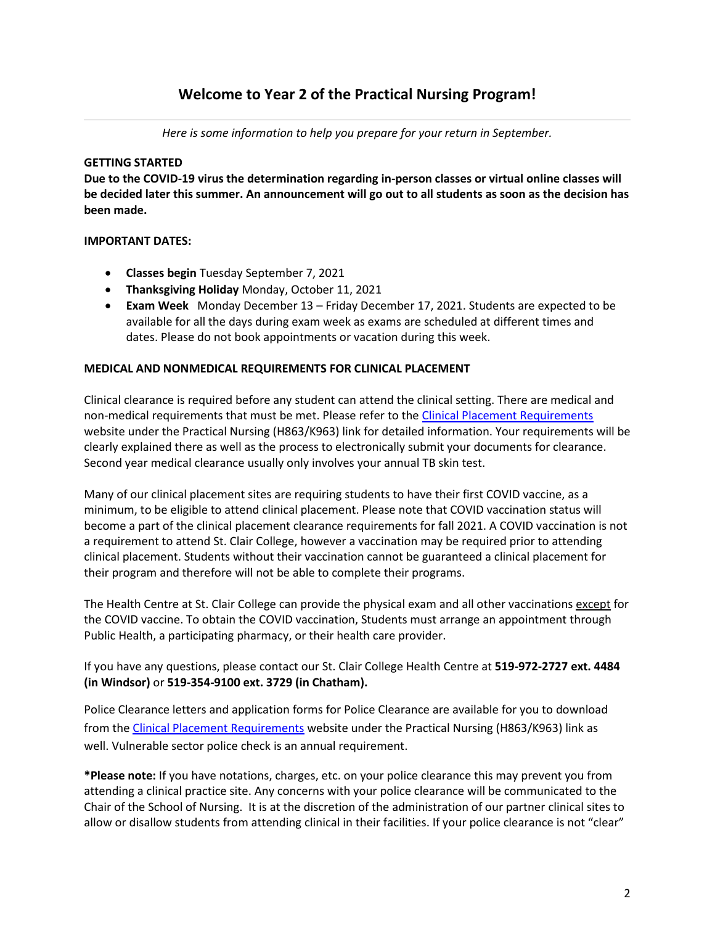*Here is some information to help you prepare for your return in September.*

### **GETTING STARTED**

**Due to the COVID-19 virus the determination regarding in-person classes or virtual online classes will be decided later this summer. An announcement will go out to all students as soon as the decision has been made.**

# **IMPORTANT DATES:**

- **Classes begin** Tuesday September 7, 2021
- **Thanksgiving Holiday** Monday, October 11, 2021
- **Exam Week** Monday December 13 Friday December 17, 2021. Students are expected to be available for all the days during exam week as exams are scheduled at different times and dates. Please do not book appointments or vacation during this week.

### **MEDICAL AND NONMEDICAL REQUIREMENTS FOR CLINICAL PLACEMENT**

Clinical clearance is required before any student can attend the clinical setting. There are medical and non-medical requirements that must be met. Please refer to the [Clinical Placement Requirements](https://www.stclaircollege.ca/programs/clinical-placement-requirements) website under the Practical Nursing (H863/K963) link for detailed information. Your requirements will be clearly explained there as well as the process to electronically submit your documents for clearance. Second year medical clearance usually only involves your annual TB skin test.

Many of our clinical placement sites are requiring students to have their first COVID vaccine, as a minimum, to be eligible to attend clinical placement. Please note that COVID vaccination status will become a part of the clinical placement clearance requirements for fall 2021. A COVID vaccination is not a requirement to attend St. Clair College, however a vaccination may be required prior to attending clinical placement. Students without their vaccination cannot be guaranteed a clinical placement for their program and therefore will not be able to complete their programs.

The Health Centre at St. Clair College can provide the physical exam and all other vaccinations except for the COVID vaccine. To obtain the COVID vaccination, Students must arrange an appointment through Public Health, a participating pharmacy, or their health care provider.

If you have any questions, please contact our St. Clair College Health Centre at **519-972-2727 ext. 4484 (in Windsor)** or **519-354-9100 ext. 3729 (in Chatham).**

Police Clearance letters and application forms for Police Clearance are available for you to download from th[e Clinical Placement Requirements](https://www.stclaircollege.ca/programs/clinical-placement-requirements) website under the Practical Nursing (H863/K963) link as well. Vulnerable sector police check is an annual requirement.

**\*Please note:** If you have notations, charges, etc. on your police clearance this may prevent you from attending a clinical practice site. Any concerns with your police clearance will be communicated to the Chair of the School of Nursing. It is at the discretion of the administration of our partner clinical sites to allow or disallow students from attending clinical in their facilities. If your police clearance is not "clear"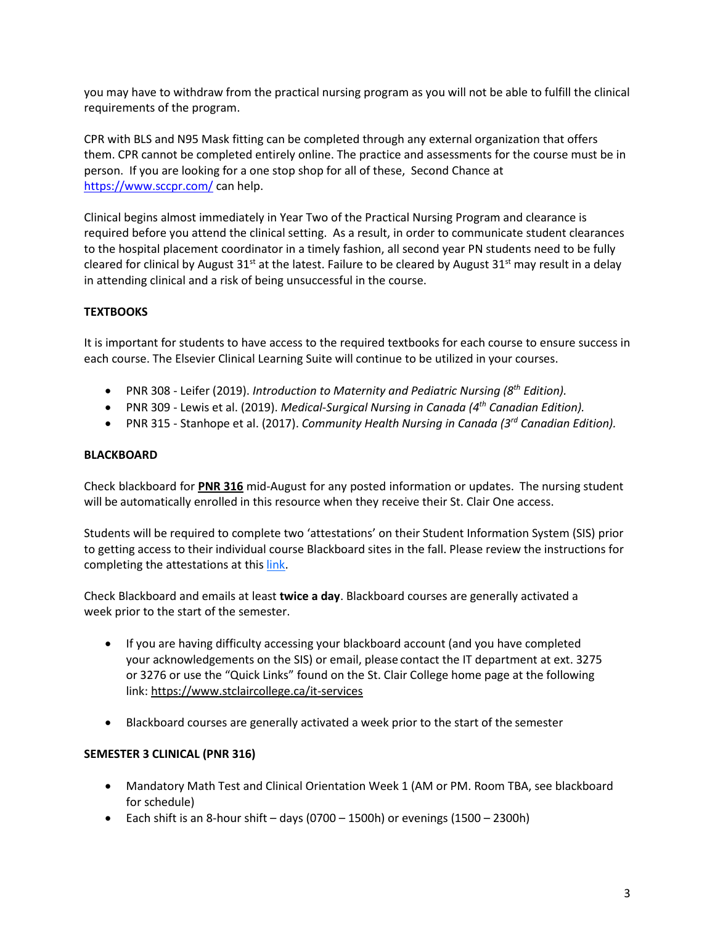you may have to withdraw from the practical nursing program as you will not be able to fulfill the clinical requirements of the program.

CPR with BLS and N95 Mask fitting can be completed through any external organization that offers them. CPR cannot be completed entirely online. The practice and assessments for the course must be in person. If you are looking for a one stop shop for all of these, Second Chance at <https://www.sccpr.com/> can help.

Clinical begins almost immediately in Year Two of the Practical Nursing Program and clearance is required before you attend the clinical setting. As a result, in order to communicate student clearances to the hospital placement coordinator in a timely fashion, all second year PN students need to be fully cleared for clinical by August 31<sup>st</sup> at the latest. Failure to be cleared by August 31<sup>st</sup> may result in a delay in attending clinical and a risk of being unsuccessful in the course.

# **TEXTBOOKS**

It is important for students to have access to the required textbooks for each course to ensure success in each course. The Elsevier Clinical Learning Suite will continue to be utilized in your courses.

- PNR 308 Leifer (2019). *Introduction to Maternity and Pediatric Nursing (8th Edition).*
- PNR 309 Lewis et al. (2019). *Medical-Surgical Nursing in Canada (4th Canadian Edition).*
- PNR 315 Stanhope et al. (2017). *Community Health Nursing in Canada (3rd Canadian Edition).*

### **BLACKBOARD**

Check blackboard for **PNR 316** mid-August for any posted information or updates. The nursing student will be automatically enrolled in this resource when they receive their St. Clair One access.

Students will be required to complete two 'attestations' on their Student Information System (SIS) prior to getting access to their individual course Blackboard sites in the fall. Please review the instructions for completing the attestations at this [link.](https://www.stclaircollege.ca/sites/default/files/inline-files/code-of-student-rights-and-academic-integrity-statement.pdf)

Check Blackboard and emails at least **twice a day**. Blackboard courses are generally activated a week prior to the start of the semester.

- If you are having difficulty accessing your blackboard account (and you have completed your acknowledgements on the SIS) or email, please contact the IT department at ext. 3275 or 3276 or use the "Quick Links" found on the St. Clair College home page at the following link:<https://www.stclaircollege.ca/it-services>
- Blackboard courses are generally activated a week prior to the start of the semester

#### **SEMESTER 3 CLINICAL (PNR 316)**

- Mandatory Math Test and Clinical Orientation Week 1 (AM or PM. Room TBA, see blackboard for schedule)
- Each shift is an 8-hour shift days (0700 1500h) or evenings (1500 2300h)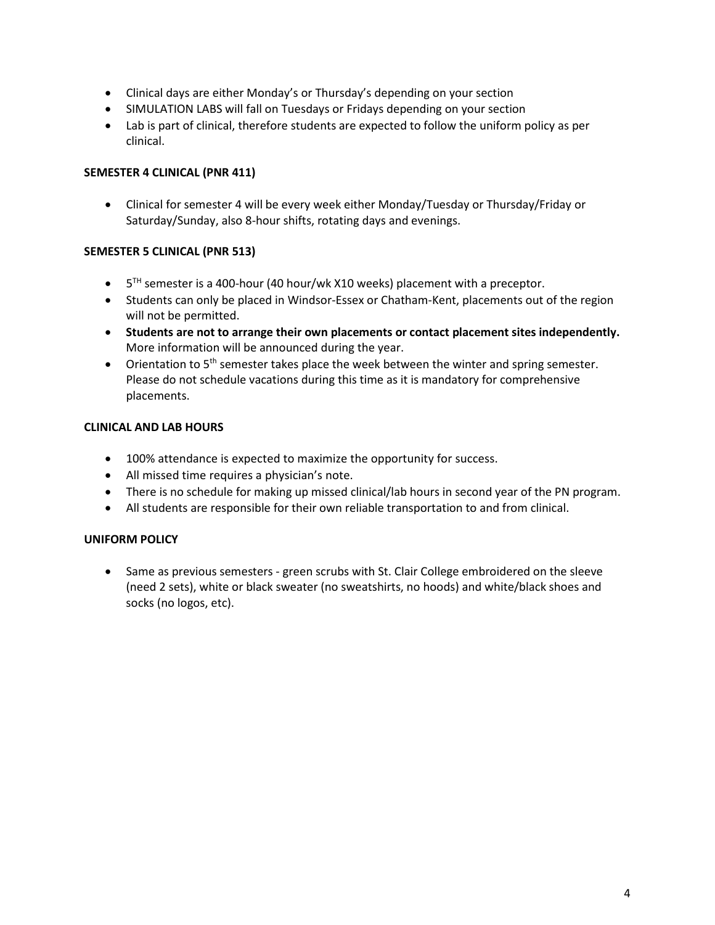- Clinical days are either Monday's or Thursday's depending on your section
- SIMULATION LABS will fall on Tuesdays or Fridays depending on your section
- Lab is part of clinical, therefore students are expected to follow the uniform policy as per clinical.

### **SEMESTER 4 CLINICAL (PNR 411)**

• Clinical for semester 4 will be every week either Monday/Tuesday or Thursday/Friday or Saturday/Sunday, also 8-hour shifts, rotating days and evenings.

### **SEMESTER 5 CLINICAL (PNR 513)**

- $\bullet$  5<sup>TH</sup> semester is a 400-hour (40 hour/wk X10 weeks) placement with a preceptor.
- Students can only be placed in Windsor-Essex or Chatham-Kent, placements out of the region will not be permitted.
- **Students are not to arrange their own placements or contact placement sites independently.** More information will be announced during the year.
- Orientation to  $5<sup>th</sup>$  semester takes place the week between the winter and spring semester. Please do not schedule vacations during this time as it is mandatory for comprehensive placements.

#### **CLINICAL AND LAB HOURS**

- 100% attendance is expected to maximize the opportunity for success.
- All missed time requires a physician's note.
- There is no schedule for making up missed clinical/lab hours in second year of the PN program.
- All students are responsible for their own reliable transportation to and from clinical.

# **UNIFORM POLICY**

• Same as previous semesters - green scrubs with St. Clair College embroidered on the sleeve (need 2 sets), white or black sweater (no sweatshirts, no hoods) and white/black shoes and socks (no logos, etc).